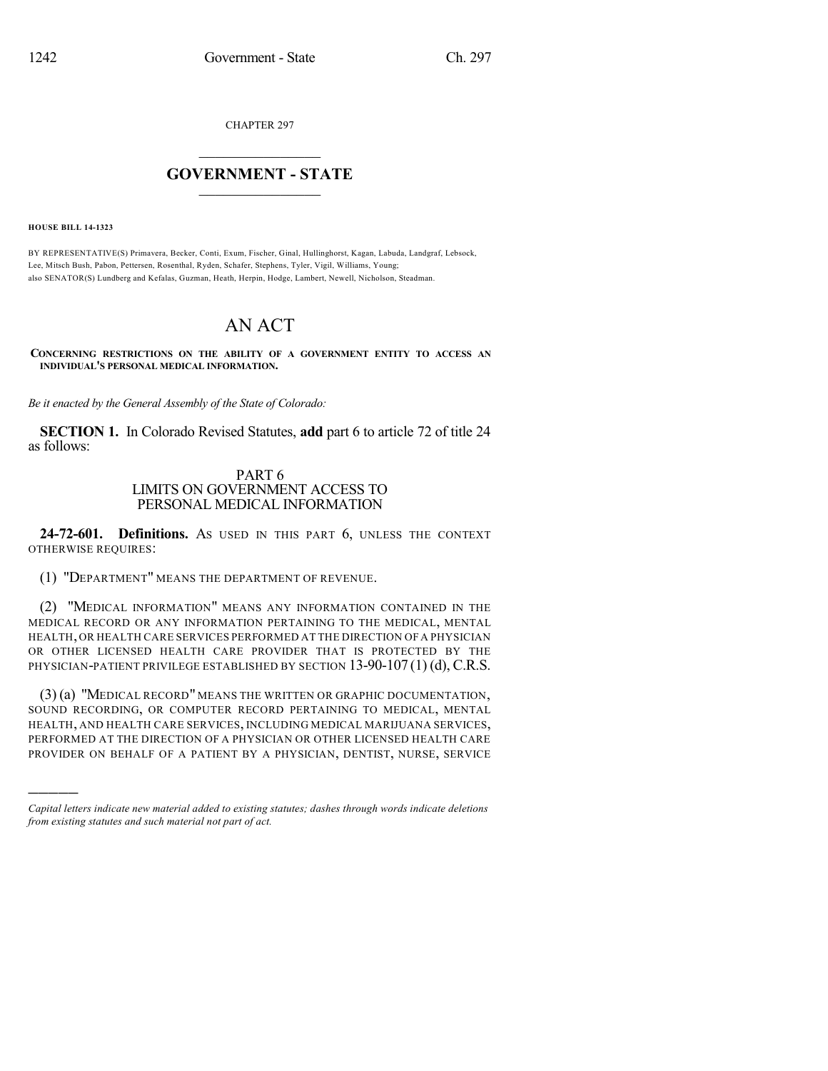CHAPTER 297

## $\mathcal{L}_\text{max}$  . The set of the set of the set of the set of the set of the set of the set of the set of the set of the set of the set of the set of the set of the set of the set of the set of the set of the set of the set **GOVERNMENT - STATE**  $\_$   $\_$   $\_$   $\_$   $\_$   $\_$   $\_$   $\_$

**HOUSE BILL 14-1323**

)))))

BY REPRESENTATIVE(S) Primavera, Becker, Conti, Exum, Fischer, Ginal, Hullinghorst, Kagan, Labuda, Landgraf, Lebsock, Lee, Mitsch Bush, Pabon, Pettersen, Rosenthal, Ryden, Schafer, Stephens, Tyler, Vigil, Williams, Young; also SENATOR(S) Lundberg and Kefalas, Guzman, Heath, Herpin, Hodge, Lambert, Newell, Nicholson, Steadman.

## AN ACT

**CONCERNING RESTRICTIONS ON THE ABILITY OF A GOVERNMENT ENTITY TO ACCESS AN INDIVIDUAL'S PERSONAL MEDICAL INFORMATION.**

*Be it enacted by the General Assembly of the State of Colorado:*

**SECTION 1.** In Colorado Revised Statutes, **add** part 6 to article 72 of title 24 as follows:

## PART 6 LIMITS ON GOVERNMENT ACCESS TO PERSONAL MEDICAL INFORMATION

**24-72-601. Definitions.** AS USED IN THIS PART 6, UNLESS THE CONTEXT OTHERWISE REQUIRES:

(1) "DEPARTMENT" MEANS THE DEPARTMENT OF REVENUE.

(2) "MEDICAL INFORMATION" MEANS ANY INFORMATION CONTAINED IN THE MEDICAL RECORD OR ANY INFORMATION PERTAINING TO THE MEDICAL, MENTAL HEALTH, OR HEALTH CARE SERVICES PERFORMED AT THE DIRECTION OF A PHYSICIAN OR OTHER LICENSED HEALTH CARE PROVIDER THAT IS PROTECTED BY THE PHYSICIAN-PATIENT PRIVILEGE ESTABLISHED BY SECTION  $13-90-107(1)(d)$ , C.R.S.

(3) (a) "MEDICAL RECORD" MEANS THE WRITTEN OR GRAPHIC DOCUMENTATION, SOUND RECORDING, OR COMPUTER RECORD PERTAINING TO MEDICAL, MENTAL HEALTH, AND HEALTH CARE SERVICES, INCLUDING MEDICAL MARIJUANA SERVICES, PERFORMED AT THE DIRECTION OF A PHYSICIAN OR OTHER LICENSED HEALTH CARE PROVIDER ON BEHALF OF A PATIENT BY A PHYSICIAN, DENTIST, NURSE, SERVICE

*Capital letters indicate new material added to existing statutes; dashes through words indicate deletions from existing statutes and such material not part of act.*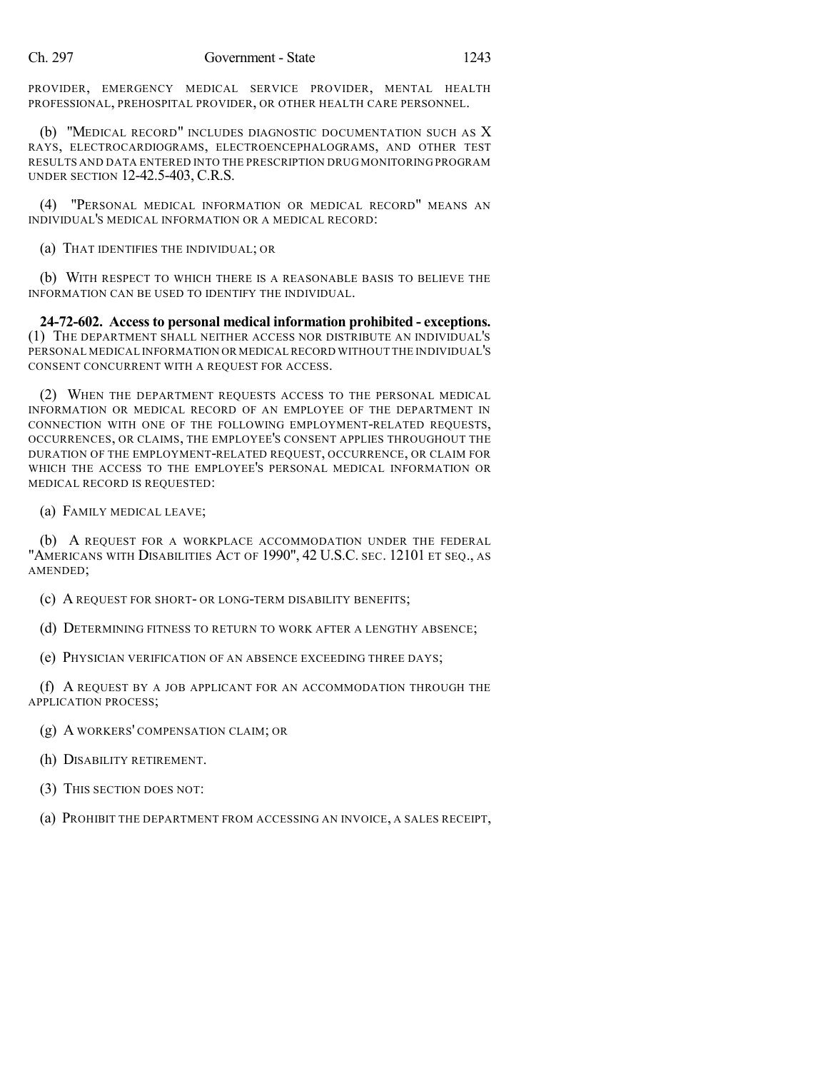PROVIDER, EMERGENCY MEDICAL SERVICE PROVIDER, MENTAL HEALTH PROFESSIONAL, PREHOSPITAL PROVIDER, OR OTHER HEALTH CARE PERSONNEL.

(b) "MEDICAL RECORD" INCLUDES DIAGNOSTIC DOCUMENTATION SUCH AS X RAYS, ELECTROCARDIOGRAMS, ELECTROENCEPHALOGRAMS, AND OTHER TEST RESULTS AND DATA ENTERED INTO THE PRESCRIPTION DRUG MONITORING PROGRAM UNDER SECTION 12-42.5-403, C.R.S.

(4) "PERSONAL MEDICAL INFORMATION OR MEDICAL RECORD" MEANS AN INDIVIDUAL'S MEDICAL INFORMATION OR A MEDICAL RECORD:

(a) THAT IDENTIFIES THE INDIVIDUAL; OR

(b) WITH RESPECT TO WHICH THERE IS A REASONABLE BASIS TO BELIEVE THE INFORMATION CAN BE USED TO IDENTIFY THE INDIVIDUAL.

**24-72-602. Access to personal medical information prohibited - exceptions.** (1) THE DEPARTMENT SHALL NEITHER ACCESS NOR DISTRIBUTE AN INDIVIDUAL'S PERSONAL MEDICAL INFORMATION OR MEDICAL RECORD WITHOUT THE INDIVIDUAL'S CONSENT CONCURRENT WITH A REQUEST FOR ACCESS.

(2) WHEN THE DEPARTMENT REQUESTS ACCESS TO THE PERSONAL MEDICAL INFORMATION OR MEDICAL RECORD OF AN EMPLOYEE OF THE DEPARTMENT IN CONNECTION WITH ONE OF THE FOLLOWING EMPLOYMENT-RELATED REQUESTS, OCCURRENCES, OR CLAIMS, THE EMPLOYEE'S CONSENT APPLIES THROUGHOUT THE DURATION OF THE EMPLOYMENT-RELATED REQUEST, OCCURRENCE, OR CLAIM FOR WHICH THE ACCESS TO THE EMPLOYEE'S PERSONAL MEDICAL INFORMATION OR MEDICAL RECORD IS REQUESTED:

(a) FAMILY MEDICAL LEAVE;

(b) A REQUEST FOR A WORKPLACE ACCOMMODATION UNDER THE FEDERAL "AMERICANS WITH DISABILITIES ACT OF 1990", 42 U.S.C. SEC. 12101 ET SEQ., AS AMENDED;

(c) A REQUEST FOR SHORT- OR LONG-TERM DISABILITY BENEFITS;

(d) DETERMINING FITNESS TO RETURN TO WORK AFTER A LENGTHY ABSENCE;

(e) PHYSICIAN VERIFICATION OF AN ABSENCE EXCEEDING THREE DAYS;

(f) A REQUEST BY A JOB APPLICANT FOR AN ACCOMMODATION THROUGH THE APPLICATION PROCESS;

(g) A WORKERS' COMPENSATION CLAIM; OR

(h) DISABILITY RETIREMENT.

(3) THIS SECTION DOES NOT:

(a) PROHIBIT THE DEPARTMENT FROM ACCESSING AN INVOICE, A SALES RECEIPT,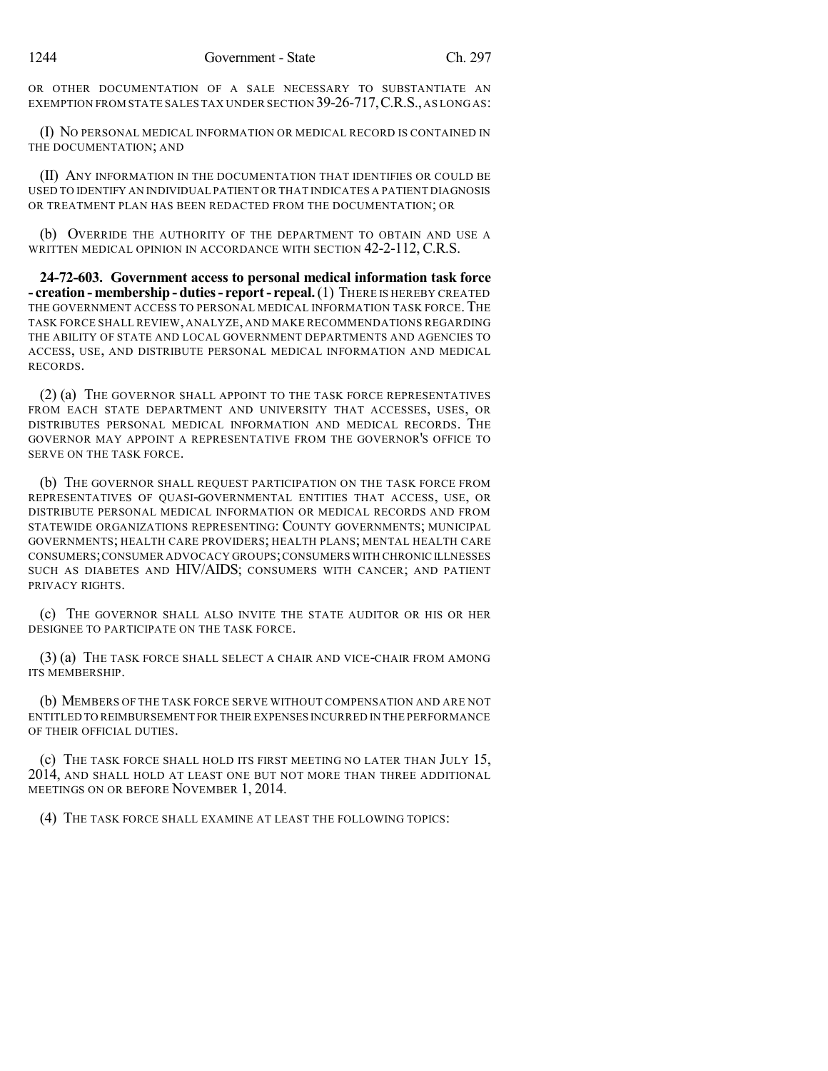OR OTHER DOCUMENTATION OF A SALE NECESSARY TO SUBSTANTIATE AN EXEMPTION FROM STATE SALES TAX UNDER SECTION 39-26-717,C.R.S.,AS LONG AS:

(I) NO PERSONAL MEDICAL INFORMATION OR MEDICAL RECORD IS CONTAINED IN THE DOCUMENTATION; AND

(II) ANY INFORMATION IN THE DOCUMENTATION THAT IDENTIFIES OR COULD BE USED TO IDENTIFY AN INDIVIDUAL PATIENT OR THAT INDICATES A PATIENT DIAGNOSIS OR TREATMENT PLAN HAS BEEN REDACTED FROM THE DOCUMENTATION; OR

(b) OVERRIDE THE AUTHORITY OF THE DEPARTMENT TO OBTAIN AND USE A WRITTEN MEDICAL OPINION IN ACCORDANCE WITH SECTION 42-2-112, C.R.S.

**24-72-603. Government access to personal medical information task force - creation - membership- duties- report- repeal.**(1) THERE IS HEREBY CREATED THE GOVERNMENT ACCESS TO PERSONAL MEDICAL INFORMATION TASK FORCE. THE TASK FORCE SHALL REVIEW, ANALYZE, AND MAKE RECOMMENDATIONS REGARDING THE ABILITY OF STATE AND LOCAL GOVERNMENT DEPARTMENTS AND AGENCIES TO ACCESS, USE, AND DISTRIBUTE PERSONAL MEDICAL INFORMATION AND MEDICAL RECORDS.

(2) (a) THE GOVERNOR SHALL APPOINT TO THE TASK FORCE REPRESENTATIVES FROM EACH STATE DEPARTMENT AND UNIVERSITY THAT ACCESSES, USES, OR DISTRIBUTES PERSONAL MEDICAL INFORMATION AND MEDICAL RECORDS. THE GOVERNOR MAY APPOINT A REPRESENTATIVE FROM THE GOVERNOR'S OFFICE TO SERVE ON THE TASK FORCE.

(b) THE GOVERNOR SHALL REQUEST PARTICIPATION ON THE TASK FORCE FROM REPRESENTATIVES OF QUASI-GOVERNMENTAL ENTITIES THAT ACCESS, USE, OR DISTRIBUTE PERSONAL MEDICAL INFORMATION OR MEDICAL RECORDS AND FROM STATEWIDE ORGANIZATIONS REPRESENTING: COUNTY GOVERNMENTS; MUNICIPAL GOVERNMENTS; HEALTH CARE PROVIDERS; HEALTH PLANS; MENTAL HEALTH CARE CONSUMERS;CONSUMER ADVOCACY GROUPS;CONSUMERS WITH CHRONIC ILLNESSES SUCH AS DIABETES AND HIV/AIDS; CONSUMERS WITH CANCER; AND PATIENT PRIVACY RIGHTS.

(c) THE GOVERNOR SHALL ALSO INVITE THE STATE AUDITOR OR HIS OR HER DESIGNEE TO PARTICIPATE ON THE TASK FORCE.

(3) (a) THE TASK FORCE SHALL SELECT A CHAIR AND VICE-CHAIR FROM AMONG ITS MEMBERSHIP.

(b) MEMBERS OF THE TASK FORCE SERVE WITHOUT COMPENSATION AND ARE NOT ENTITLED TO REIMBURSEMENT FOR THEIR EXPENSES INCURRED IN THE PERFORMANCE OF THEIR OFFICIAL DUTIES.

(c) THE TASK FORCE SHALL HOLD ITS FIRST MEETING NO LATER THAN JULY 15, 2014, AND SHALL HOLD AT LEAST ONE BUT NOT MORE THAN THREE ADDITIONAL MEETINGS ON OR BEFORE NOVEMBER 1, 2014.

(4) THE TASK FORCE SHALL EXAMINE AT LEAST THE FOLLOWING TOPICS: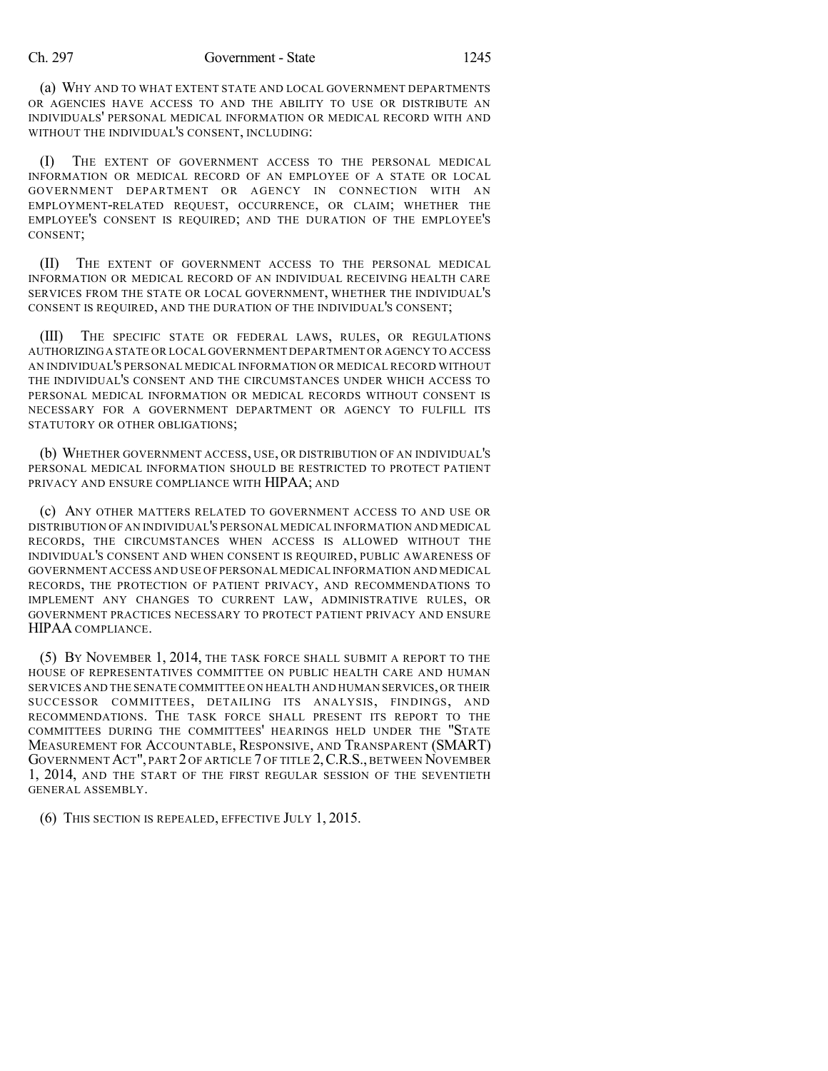(a) WHY AND TO WHAT EXTENT STATE AND LOCAL GOVERNMENT DEPARTMENTS OR AGENCIES HAVE ACCESS TO AND THE ABILITY TO USE OR DISTRIBUTE AN INDIVIDUALS' PERSONAL MEDICAL INFORMATION OR MEDICAL RECORD WITH AND WITHOUT THE INDIVIDUAL'S CONSENT, INCLUDING:

(I) THE EXTENT OF GOVERNMENT ACCESS TO THE PERSONAL MEDICAL INFORMATION OR MEDICAL RECORD OF AN EMPLOYEE OF A STATE OR LOCAL GOVERNMENT DEPARTMENT OR AGENCY IN CONNECTION WITH AN EMPLOYMENT-RELATED REQUEST, OCCURRENCE, OR CLAIM; WHETHER THE EMPLOYEE'S CONSENT IS REQUIRED; AND THE DURATION OF THE EMPLOYEE'S CONSENT;

(II) THE EXTENT OF GOVERNMENT ACCESS TO THE PERSONAL MEDICAL INFORMATION OR MEDICAL RECORD OF AN INDIVIDUAL RECEIVING HEALTH CARE SERVICES FROM THE STATE OR LOCAL GOVERNMENT, WHETHER THE INDIVIDUAL'S CONSENT IS REQUIRED, AND THE DURATION OF THE INDIVIDUAL'S CONSENT;

(III) THE SPECIFIC STATE OR FEDERAL LAWS, RULES, OR REGULATIONS AUTHORIZINGA STATE OR LOCAL GOVERNMENT DEPARTMENT OR AGENCY TO ACCESS AN INDIVIDUAL'S PERSONAL MEDICAL INFORMATION OR MEDICAL RECORD WITHOUT THE INDIVIDUAL'S CONSENT AND THE CIRCUMSTANCES UNDER WHICH ACCESS TO PERSONAL MEDICAL INFORMATION OR MEDICAL RECORDS WITHOUT CONSENT IS NECESSARY FOR A GOVERNMENT DEPARTMENT OR AGENCY TO FULFILL ITS STATUTORY OR OTHER OBLIGATIONS;

(b) WHETHER GOVERNMENT ACCESS, USE, OR DISTRIBUTION OF AN INDIVIDUAL'S PERSONAL MEDICAL INFORMATION SHOULD BE RESTRICTED TO PROTECT PATIENT PRIVACY AND ENSURE COMPLIANCE WITH HIPAA; AND

(c) ANY OTHER MATTERS RELATED TO GOVERNMENT ACCESS TO AND USE OR DISTRIBUTION OF AN INDIVIDUAL'S PERSONAL MEDICAL INFORMATION AND MEDICAL RECORDS, THE CIRCUMSTANCES WHEN ACCESS IS ALLOWED WITHOUT THE INDIVIDUAL'S CONSENT AND WHEN CONSENT IS REQUIRED, PUBLIC AWARENESS OF GOVERNMENT ACCESS AND USE OF PERSONAL MEDICAL INFORMATION AND MEDICAL RECORDS, THE PROTECTION OF PATIENT PRIVACY, AND RECOMMENDATIONS TO IMPLEMENT ANY CHANGES TO CURRENT LAW, ADMINISTRATIVE RULES, OR GOVERNMENT PRACTICES NECESSARY TO PROTECT PATIENT PRIVACY AND ENSURE HIPAA COMPLIANCE.

(5) BY NOVEMBER 1, 2014, THE TASK FORCE SHALL SUBMIT A REPORT TO THE HOUSE OF REPRESENTATIVES COMMITTEE ON PUBLIC HEALTH CARE AND HUMAN SERVICES AND THE SENATE COMMITTEE ON HEALTH AND HUMAN SERVICES,OR THEIR SUCCESSOR COMMITTEES, DETAILING ITS ANALYSIS, FINDINGS, AND RECOMMENDATIONS. THE TASK FORCE SHALL PRESENT ITS REPORT TO THE COMMITTEES DURING THE COMMITTEES' HEARINGS HELD UNDER THE "STATE MEASUREMENT FOR ACCOUNTABLE, RESPONSIVE, AND TRANSPARENT (SMART) GOVERNMENT ACT", PART 2 OF ARTICLE 7 OF TITLE 2,C.R.S., BETWEEN NOVEMBER 1, 2014, AND THE START OF THE FIRST REGULAR SESSION OF THE SEVENTIETH GENERAL ASSEMBLY.

(6) THIS SECTION IS REPEALED, EFFECTIVE JULY 1, 2015.